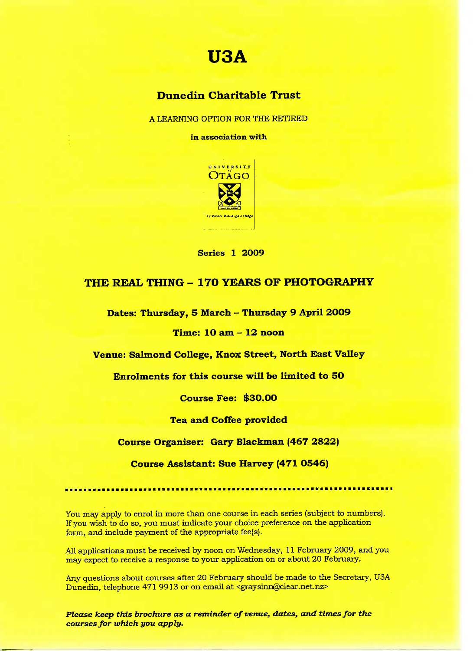# **USA**

## Dunedin **Charitable Trust**

A LEARNING OPTION FOR THE RETIRED

**in association with**



**Series 1 20O9**

## **THE REAL THING - 170 YEARS OF PHOTOGRAPHY**

**Dates: Thursday, 5 March - Thursday 9 April 2009**

#### **Time: 1O am - 12 noon**

**Venue: Salmond College, Knox Street, North Bast Valley**

**Enrolments for this course will be limited to 50**

**Course Fee: \$30.OO**

**Tea and Coffee provided**

**Course Organiser: Gary Blackman (467 2822)**

**Course Assistant: Sue Harvey (471 0546)**

You may apply to enrol in more than one course in each series (subject to numbers). If you wish to do so, you must indicate your choice preference on the application form, and include payment of the appropriate fee(s).

All applications must be received by noon on Wednesday, 11 February 2009, and you may expect to receive a response to your application on or about 20 February.

Any questions about courses after 20 February should be made to the Secretary, USA Dunedin, telephone 471 9913 or on email at <graysinn@clear.net.nz>

*Please keep this brochure as a reminder of venue,* **dates,** *and times for the courses for which you apply.*